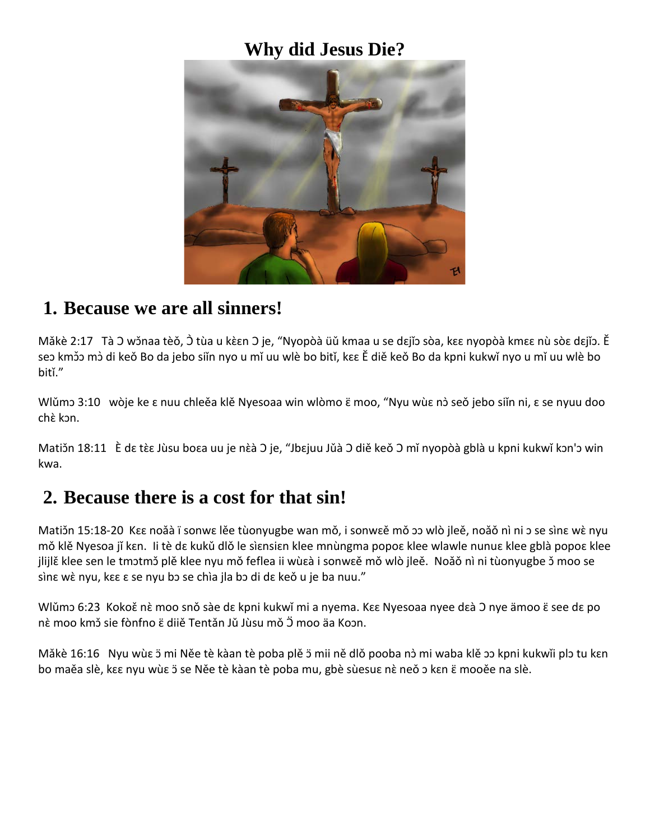#### **Why did Jesus Die?**



#### **1. Because we are all sinners!**

Mǎkè 2:17 Tà O wǒnaa tèǒ, Ò tùa u kèɛn O je, "Nyopòà üǔ kmaa u se dɛjǐɔ sòa, kɛɛ nyopòà kmɛɛ nù sòɛ dɛjǐɔ. Ě seɔ kmɔ̃ɔ mɔ̀ di keǒ Bo da jebo siǐn nyo u mǐ uu wlè bo bitǐ, kɛɛ Ě diě keǒ Bo da kpni kukwǐ nyo u mǐ uu wlè bo bitǐ."

Wlǔmɔ 3:10 wòje ke ε nuu chleěa klě Nyesoaa win wlòmo ε moo, "Nyu wùε nò seǒ jebo siǐn ni, ε se nyuu doo chè kɔn.

Matiɔ̃n 18:11 È dɛ tɛ̀ɛ Jùsu boɛa uu je nɛ̀à O je, "Jbɛjuu Jǔà O diě keǒ O mǐ nyopòà gblà u kpni kukwǐ kɔn'ɔ win kwa.

## **2. Because there is a cost for that sin!**

Matižn 15:18-20 Kɛɛ noǎà ï sonwɛ lěe tùonyugbe wan mǒ, i sonwɛě mǒ ɔɔ wlò jleě, noǎǒ nì ni ɔ se sìnɛ wɛ̀ nyu mǒ klě Nyesoa jǐ kɛn. Ii tè dɛ kukǔ dlǒ le sìɛnsiɛn klee mnùngma popoɛ klee wlawle nunuɛ klee gblà popoɛ klee jlijlě klee sen le tmɔtmɔ̌ plě klee nyu mǒ feflea ii wùɛà i sonwɛě mǒ wlò jleě. Noǎǒ nì ni tùonyugbe ɔ̌ moo se sìnɛ wɛ̀ nyu, kɛɛ ɛ se nyu bɔ se chìa jla bɔ di dɛ keǒ u je ba nuu."

Wlǔmɔ 6:23 Kokoě nè moo snǒ sàe dɛ kpni kukwǐ mi a nyema. Kɛɛ Nyesoaa nyee dɛà O nye ämoo ɛ̈ see dɛ po nề moo kmɔ̃ sie fònfno ë diiě Tentǎn Jǔ Jùsu mǒ Ö moo äa Koɔn.

Mǎkè 16:16 Nyu wùɛ ɔ̃ mi Něe tè kàan tè poba plě ɔ̃ mii ně dlǒ pooba nɔ̀ mi waba klě ɔɔ kpni kukwǐi plɔ tu kɛn bo maěa slè, kɛɛ nyu wùɛ ɔ̈ se Něe tè kàan tè poba mu, gbè sùesuɛ nɛ̀ neǒ ɔ kɛn ɛ̈ mooěe na slè.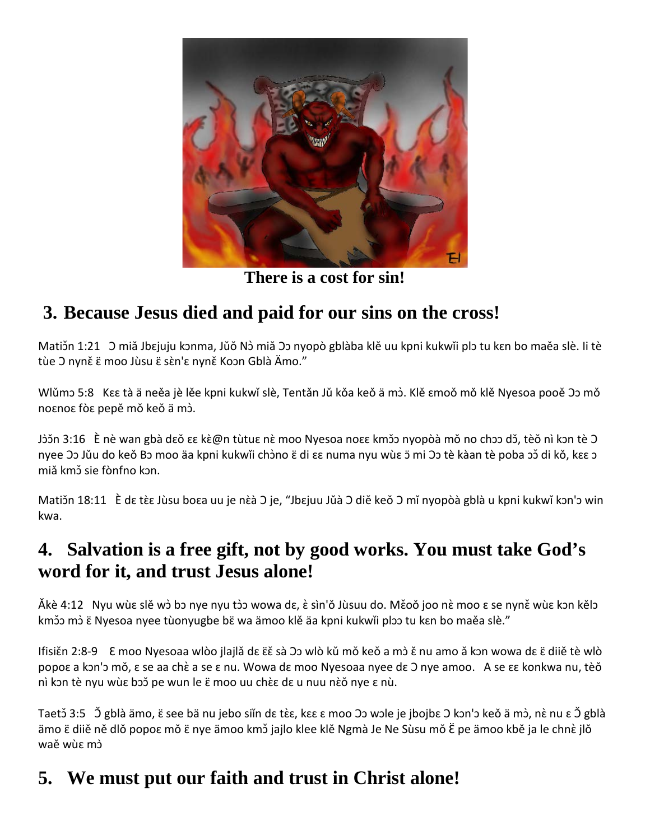

**There is a cost for sin!**

# **3. Because Jesus died and paid for our sins on the cross!**

Matižn 1:21 J miǎ Jbɛjuju kɔnma, Jǔǒ Nɔ̀ miǎ フɔ nyopò gblàba klě uu kpni kukwǐi plɔ tu kɛn bo maěa slè. Ii tè tùe O nyně ë moo Jùsu ë sèn's nyně Koon Gblà Ämo."

Wlǔmɔ 5:8 Kɛɛ tà ä neěa jè lěe kpni kukwǐ slè, Tentǎn Jǔ kǒa keǒ ä mɔ̀ . Klě ɛmoǒ mǒ klě Nyesoa pooě Ɔɔ mǒ noɛnoɛ fòɛ pepě mǒ keǒ ä mɔ̀ .

Jòɔ̌n 3:16 ) È nè wan gbà dɛǒ ɛɛ kὲ@n tùtuɛ nὲ moo Nyesoa noɛɛ kmɔ̌ɔ nyopòà mǒ no chɔɔ dɔ̌, tèǒ nì kɔn tè O nyee Oo Jǔu do keǒ Bo moo äa kpni kukwǐi chòno  $\varepsilon$  di  $\varepsilon$  numa nyu wù $\varepsilon$  5 mi Oo tè kàan tè poba oǒ di kǒ, k $\varepsilon$  o miǎ kmɔ̌ sie fònfno kɔn.

Matiɔ̃n 18:11 È dɛ tὲɛ Jùsu boɛa uu je nὲà Ͻ je, "Jbɛjuu Jǔà Ͻ diě keǒ Ͻ mǐ nyopòà gblà u kpni kukwǐ kɔn'ɔ win kwa.

## **4. Salvation is a free gift, not by good works. You must take God's word for it, and trust Jesus alone!**

<u>Ăkè 4:12 Nyu wùε slě wò bɔ nye nyu tòɔ wowa dɛ, ὲ sìn'ǒ Jùsuu do. Měoǒ joo nὲ moo ɛ se nyně wùɛ kɔn kělɔ </u> kmɔ̃ɔ mɔ̀ ɛ̈ Nyesoa nyee tùonyugbe bɛ̈ wa ämoo klě äa kpni kukwǐi plɔɔ tu kɛn bo maěa slè."

IfisiĚn 2:8-9 E moo Nyesoaa wlòo jlajlǎ dɛ ɛ̃ɛ sà つɔ wlò kǔ mǒ keǒ a mɔ̀ ɛ̌ nu amo ǎ kɔn wowa dɛ ɛ̈ diiě tè wlò popoɛ a kɔn'ɔ mǒ, ɛ se aa chɛ̀ a se ɛ nu. Wowa dɛ moo Nyesoaa nyee dɛ O nye amoo. A se ɛɛ konkwa nu, tèǒ nì kɔn tè nyu wùε bɔɔ̌ pe wun le ε̈ moo uu chÈε dε u nuu nÈo nye ε nù.

Taetɔ̃ 3:5 Ͻ̃ gblà ämo, ɛ̃ see bä nu jebo siǐn dɛ tɛ̀ɛ, kɛɛ ɛ moo Ͻɔ wɔle je jbojbɛ Ͻ kɔnˈɔ keǒ ä mɔ̀, nɛ̀ nu ɛ Ͻ̃ gblà ämo  $\ddot{\epsilon}$  diiě ně dlǒ popo $\epsilon$  mǒ  $\ddot{\epsilon}$  nye ämoo kmɔ̌ jajlo klee klě Ngmà Je Ne Sùsu mǒ Ë pe ämoo kbě ja le chnè jlǒ waě wùɛ mɔ̀

# **5. We must put our faith and trust in Christ alone!**